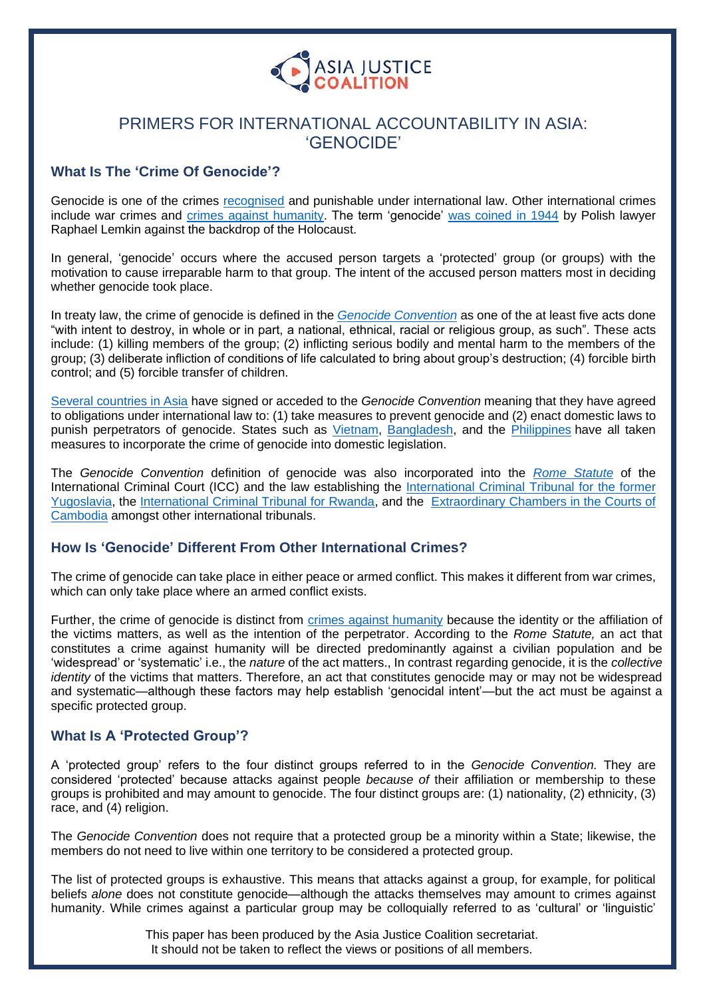

# PRIMERS FOR INTERNATIONAL ACCOUNTABILITY IN ASIA: 'GENOCIDE'

# **What Is The 'Crime Of Genocide'?**

Genocide is one of the crimes [recognised](https://www.refworld.org/docid/3b00f09753.html) and punishable under international law. Other international crimes include war crimes and [crimes against humanity.](https://www.asiajusticecoalition.org/_files/ugd/811bc6_82dc6dccbf864d409bfe287693f72b47.pdf) The term 'genocide' [was coined in 1944](https://www.un.org/en/genocideprevention/documents/publications-and-resources/GuidanceNote-When%20to%20refer%20to%20a%20situation%20as%20genocide.pdf) by Polish lawyer Raphael Lemkin against the backdrop of the Holocaust.

In general, 'genocide' occurs where the accused person targets a 'protected' group (or groups) with the motivation to cause irreparable harm to that group. The intent of the accused person matters most in deciding whether genocide took place.

In treaty law, the crime of genocide is defined in the *[Genocide Convention](https://www.un.org/en/genocideprevention/documents/atrocity-crimes/Doc.1_Convention%20on%20the%20Prevention%20and%20Punishment%20of%20the%20Crime%20of%20Genocide.pdf)* as one of the at least five acts done "with intent to destroy, in whole or in part, a national, ethnical, racial or religious group, as such". These acts include: (1) killing members of the group; (2) inflicting serious bodily and mental harm to the members of the group; (3) deliberate infliction of conditions of life calculated to bring about group's destruction; (4) forcible birth control; and (5) forcible transfer of children.

[Several countries in Asia](https://treaties.un.org/Pages/ViewDetails.aspx?src=IND&mtdsg_no=IV-1&chapter=4&clang=_en) have signed or acceded to the *Genocide Convention* meaning that they have agreed to obligations under international law to: (1) take measures to prevent genocide and (2) enact domestic laws to punish perpetrators of genocide. States such as *Vietnam*, [Bangladesh,](https://ihl-databases.icrc.org/applic/ihl/ihl-nat.nsf/0/0618daaa2660e9b3c125771a00264b13/$FILE/International%20Crimes%20(Tribunals)%20Act,%201973%20(as%20amended%20in%202009).pdf) and the *Philippines* have all taken measures to incorporate the crime of genocide into domestic legislation.

The *Genocide Convention* definition of genocide was also incorporated into the *[Rome Statute](https://www.icc-cpi.int/resource-library/documents/rs-eng.pdf)* of the International Criminal Court (ICC) and the law establishing the [International Criminal Tribunal for the former](https://www.icty.org/x/file/Legal%20Library/Statute/statute_sept09_en.pdf)  [Yugoslavia,](https://www.icty.org/x/file/Legal%20Library/Statute/statute_sept09_en.pdf) the [International Criminal Tribunal for Rwanda,](https://www.ohchr.org/en/professionalinterest/pages/statuteinternationalcriminaltribunalforrwanda.aspx) and the [Extraordinary Chambers in the Courts of](https://www.eccc.gov.kh/sites/default/files/legal-documents/KR_Law_as_amended_27_Oct_2004_Eng.pdf)  [Cambodia](https://www.eccc.gov.kh/sites/default/files/legal-documents/KR_Law_as_amended_27_Oct_2004_Eng.pdf) amongst other international tribunals.

# **How Is 'Genocide' Different From Other International Crimes?**

The crime of genocide can take place in either peace or armed conflict. This makes it different from war crimes, which can only take place where an armed conflict exists.

Further, the crime of genocide is distinct from [crimes against humanity](https://www.asiajusticecoalition.org/_files/ugd/811bc6_82dc6dccbf864d409bfe287693f72b47.pdf) because the identity or the affiliation of the victims matters, as well as the intention of the perpetrator. According to the *Rome Statute,* an act that constitutes a crime against humanity will be directed predominantly against a civilian population and be 'widespread' or 'systematic' i.e., the *nature* of the act matters., In contrast regarding genocide, it is the *collective identity* of the victims that matters. Therefore, an act that constitutes genocide may or may not be widespread and systematic—although these factors may help establish 'genocidal intent'—but the act must be against a specific protected group.

#### **What Is A 'Protected Group'?**

A 'protected group' refers to the four distinct groups referred to in the *Genocide Convention.* They are considered 'protected' because attacks against people *because of* their affiliation or membership to these groups is prohibited and may amount to genocide. The four distinct groups are: (1) nationality, (2) ethnicity, (3) race, and (4) religion.

The *Genocide Convention* does not require that a protected group be a minority within a State; likewise, the members do not need to live within one territory to be considered a protected group.

The list of protected groups is exhaustive. This means that attacks against a group, for example, for political beliefs *alone* does not constitute genocide—although the attacks themselves may amount to crimes against humanity. While crimes against a particular group may be colloquially referred to as 'cultural' or 'linguistic'

> This paper has been produced by the Asia Justice Coalition secretariat. It should not be taken to reflect the views or positions of all members.